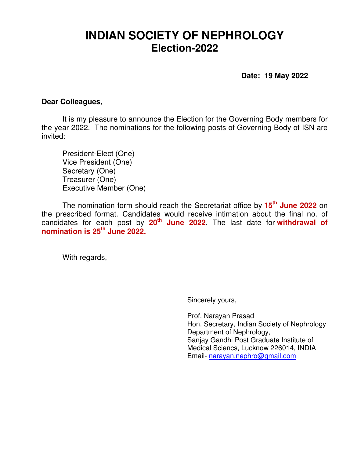## **INDIAN SOCIETY OF NEPHROLOGY Election-2022**

 **Date: 19 May 2022** 

## **Dear Colleagues,**

It is my pleasure to announce the Election for the Governing Body members for the year 2022. The nominations for the following posts of Governing Body of ISN are invited:

President-Elect (One) Vice President (One) Secretary (One) Treasurer (One) Executive Member (One)

The nomination form should reach the Secretariat office by **15th June 2022** on the prescribed format. Candidates would receive intimation about the final no. of candidates for each post by **20th June 2022**. The last date for **withdrawal of nomination is 25th June 2022.**

With regards,

Sincerely yours,

Prof. Narayan Prasad Hon. Secretary, Indian Society of Nephrology Department of Nephrology, Sanjay Gandhi Post Graduate Institute of Medical Sciencs, Lucknow 226014, INDIA Email- narayan.nephro@gmail.com